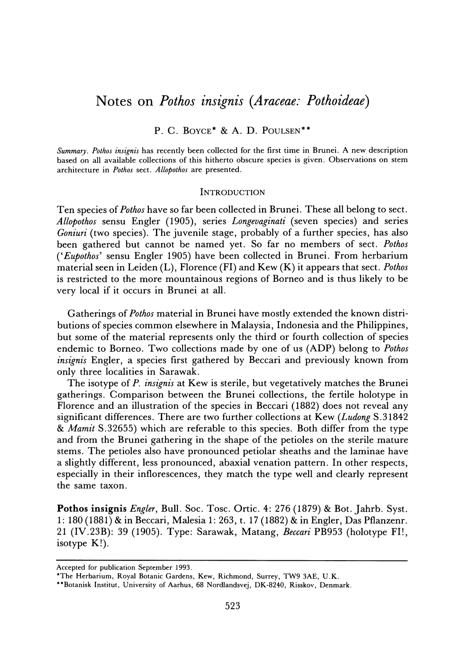# **Notes on Pothos insignis (Araceae. Pothoideae)**

## **P. C. BOYCE\* & A. D. POULSEN\*\***

**Summary. Pothos insignis has recently been collected for the first time in Brunei. A new description based on all available collections of this hitherto obscure species is given. Observations on stem architecture in Pothos sect. Allopothos are presented.** 

#### **INTRODUCTION**

**Ten species of Pothos have so far been collected in Brunei. These all belong to sect. Allopothos sensu Engler (1905), series Longevaginati (seven species) and series Goniuri (two species). The juvenile stage, probably of a further species, has also been gathered but cannot be named yet. So far no members of sect. Pothos ('Eupothos' sensu Engler 1905) have been collected in Brunei. From herbarium material seen in Leiden (L), Florence (FI) and Kew (K) it appears that sect. Pothos is restricted to the more mountainous regions of Borneo and is thus likely to be very local if it occurs in Brunei at all.** 

**Gatherings of Pothos material in Brunei have mostly extended the known distributions of species common elsewhere in Malaysia, Indonesia and the Philippines, but some of the material represents only the third or fourth collection of species endemic to Borneo. Two collections made by one of us (ADP) belong to Pothos**  insignis Engler, a species first gathered by Beccari and previously known from **only three localities in Sarawak.** 

**The isotype of P. insignis at Kew is sterile, but vegetatively matches the Brunei gatherings. Comparison between the Brunei collections, the fertile holotype in Florence and an illustration of the species in Beccari (1882) does not reveal any significant differences. There are two further collections at Kew (Ludong S.31842 & Mamit S.32655) which are referable to this species. Both differ from the type and from the Brunei gathering in the shape of the petioles on the sterile mature stems. The petioles also have pronounced petiolar sheaths and the laminae have a slightly different, less pronounced, abaxial venation pattern. In other respects, especially in their inflorescences, they match the type well and clearly represent the same taxon.** 

Pothos insignis *Engler*, Bull. Soc. Tosc. Ortic. 4: 276 (1879) & Bot. Jahrb. Syst. **1: 180 (1881) & in Beccari, Malesia 1: 263, t. 17 (1882) & in Engler, Das Pflanzenr. 21 (IV.23B): 39 (1905). Type: Sarawak, Matang, Beccari PB953 (holotype FI!, isotype K!).** 

**Accepted for publication September 1993.** 

**<sup>\*</sup>The Herbarium, Royal Botanic Gardens, Kew, Richmond, Surrey, TW9 3AE, U.K.** 

**<sup>\*\*</sup>Botanisk Institut, University of Aarhus, 68 Nordlandsvej, DK-8240, Risskov, Denmark.**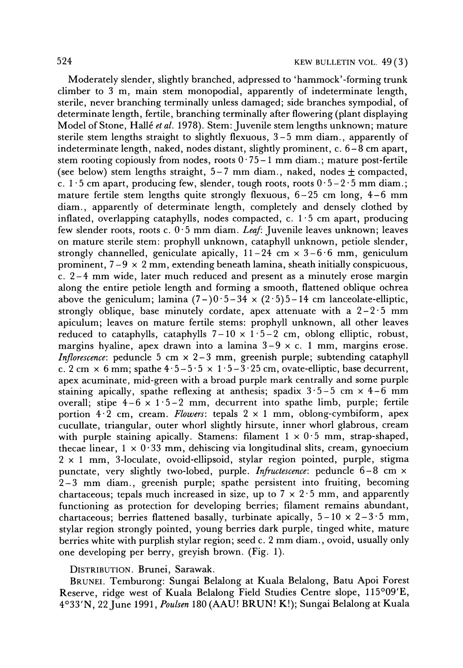**Moderately slender, slightly branched, adpressed to 'hammock'-forming trunk climber to 3 m, main stem monopodial, apparently of indeterminate length, sterile, never branching terminally unless damaged; side branches sympodial, of determinate length, fertile, branching terminally after flowering (plant displaying**  Model of Stone, Hallé et al. 1978). Stem: Juvenile stem lengths unknown; mature **sterile stem lengths straight to slightly flexuous, 3-5 mm diam., apparently of indeterminate length, naked, nodes distant, slightly prominent, c. 6-8 cm apart,**  stem rooting copiously from nodes, roots  $0.75-1$  mm diam.; mature post-fertile (see below) stem lengths straight,  $5-7$  mm diam., naked, nodes  $\pm$  compacted, c.  $1 \cdot 5$  cm apart, producing few, slender, tough roots, roots  $0 \cdot 5 - 2 \cdot 5$  mm diam.; **mature fertile stem lengths quite strongly flexuous, 6-25 cm long, 4-6 mm diam., apparently of determinate length, completely and densely clothed by inflated, overlapping cataphylls, nodes compacted, c. 1 5 cm apart, producing few slender roots, roots c. 0 -5 mm diam. Leaf: Juvenile leaves unknown; leaves on mature sterile stem: prophyll unknown, cataphyll unknown, petiole slender,**  strongly channelled, geniculate apically,  $11-24$  cm  $\times$   $3-6.6$  mm, geniculum **prominent, 7-9 x 2 mm, extending beneath lamina, sheath initially conspicuous, c. 2-4 mm wide, later much reduced and present as a minutely erose margin along the entire petiole length and forming a smooth, flattened oblique ochrea**  above the geniculum; lamina  $(7 - 0.5 - 34 \times (2.5) - 14$  cm lanceolate-elliptic, **strongly oblique, base minutely cordate, apex attenuate with a 2-2-5 mm apiculum; leaves on mature fertile stems: prophyll unknown, all other leaves**  reduced to cataphylls, cataphylls  $7-10 \times 1.5-2$  cm, oblong elliptic, robust, **margins hyaline, apex drawn into a lamina 3-9 x c. 1 mm, margins erose. Inflorescence: peduncle 5 cm x 2-3 mm, greenish purple; subtending cataphyll**  c. 2 cm  $\times$  6 mm; spathe  $4.5-5.5 \times 1.5-3.25$  cm, ovate-elliptic, base decurrent,  $3.5-3.25$  cm, ovate-elliptic, base decurrent, **apex acuminate, mid-green with a broad purple mark centrally and some purple**  staining apically, spathe reflexing at anthesis; spadix  $3 \cdot 5 - 5$  cm  $\times$  4-6 mm overall; stipe  $4-6 \times 1.5-2$  mm, decurrent into spathe limb, purple; fertile portion  $4.\overline{2}$  cm, cream. Flowers: tepals  $2 \times 1$  mm, oblong-cymbiform, apex **cucullate, triangular, outer whorl slightly hirsute, inner whorl glabrous, cream**  with purple staining apically. Stamens: filament  $1 \times 0.5$  mm, strap-shaped, thecae linear,  $1 \times 0.33$  mm, dehiscing via longitudinal slits, cream, gynoecium **2 x 1 mm, 3-loculate, ovoid-ellipsoid, stylar region pointed, purple, stigma punctate, very slightly two-lobed, purple. Infructescence: peduncle 6-8 cm x 2-3 mm diam., greenish purple; spathe persistent into fruiting, becoming**  chartaceous; tepals much increased in size, up to  $7 \times 2.5$  mm, and apparently **functioning as protection for developing berries; filament remains abundant,**  chartaceous; berries flattened basally, turbinate apically,  $5-10 \times 2-3.5$  mm, **stylar region strongly pointed, young berries dark purple, tinged white, mature berries white with purplish stylar region; seed c. 2 mm diam., ovoid, usually only one developing per berry, greyish brown. (Fig. 1).** 

## **DISTRIBUTION. Brunei, Sarawak.**

**BRUNEI. Temburong: Sungai Belalong at Kuala Belalong, Batu Apoi Forest Reserve, ridge west of Kuala Belalong Field Studies Centre slope, 115009'E, 4033'N, 22June 1991, Poulsen 180 (AAU! BRUN! K!); Sungai Belalong at Kuala**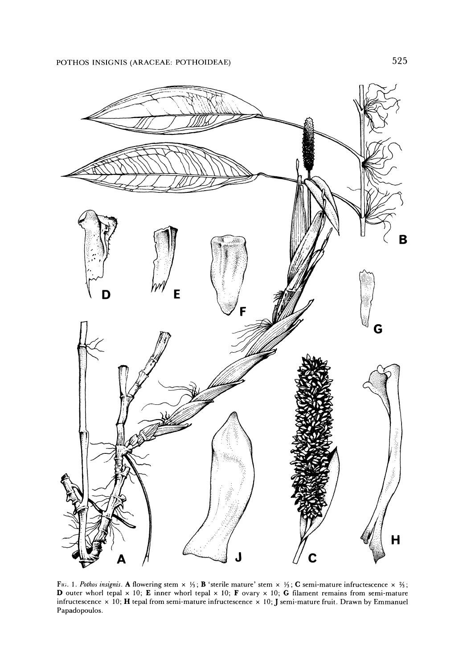

FIG. 1. Pothos insignis. A flowering stem  $\times$  1/3; **B** 'sterile mature' stem  $\times$  1/3; **C** semi-mature infructescence  $\times$  3/3; **D outer whorl tepal x 10; E inner whorl tepal x 10; F ovary x 10; G filament remains from semi-mature**   $\bf{i}$  **infructescence**  $\times$  **10;**  $\bf{H}$  **tepal from semi-mature infructescence**  $\times$  **10;**  $\bf{J}$  $\bf{s}$  **emi-mature fruit. Drawn by Emmanue Papadopoulos.**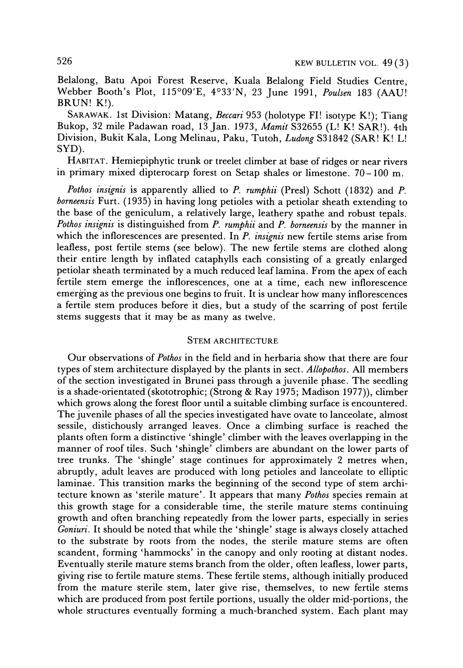**Belalong, Batu Apoi Forest Reserve, Kuala Belalong Field Studies Centre,**  Webber Booth's Plot, 115°09'E, 4°33'N, 23 June 1991, Poulsen 183 (AAU! **BRUN! K!).** 

**SARAWAK. 1st Division: Matang, Beccari 953 (holotype FI! isotype K!); Tiang Bukop, 32 mile Padawan road, 13 Jan. 1973, Mamit S32655 (L! K! SAR!). 4th Division, Bukit Kala, Long Melinau, Paku, Tutoh, Ludong S31842 (SAR! K! L! SYD).** 

**HABITAT. Hemiepiphytic trunk or treelet climber at base of ridges or near rivers in primary mixed dipterocarp forest on Setap shales or limestone. 70-100 m.** 

Pothos insignis is apparently allied to P. rumphii (Presl) Schott (1832) and P. **borneensis Furt. (1935) in having long petioles with a petiolar sheath extending to the base of the geniculum, a relatively large, leathery spathe and robust tepals. Pothos insignis is distinguished from P. rumphii and P. borneensis by the manner in which the inflorescences are presented. In P. insignis new fertile stems arise from leafless, post fertile stems (see below). The new fertile stems are clothed along their entire length by inflated cataphylls each consisting of a greatly enlarged petiolar sheath terminated by a much reduced leaf lamina. From the apex of each fertile stem emerge the inflorescences, one at a time, each new inflorescence emerging as the previous one begins to fruit. It is unclear how many inflorescences a fertile stem produces before it dies, but a study of the scarring of post fertile stems suggests that it may be as many as twelve.** 

#### **STEM ARCHITECTURE**

**Our observations of Pothos in the field and in herbaria show that there are four types of stem architecture displayed by the plants in sect. Allopothos. All members of the section investigated in Brunei pass through a juvenile phase. The seedling is a shade-orientated (skototrophic; (Strong & Ray 1975; Madison 1977)), climber which grows along the forest floor until a suitable climbing surface is encountered. The juvenile phases of all the species investigated have ovate to lanceolate, almost sessile, distichously arranged leaves. Once a climbing surface is reached the plants often form a distinctive 'shingle' climber with the leaves overlapping in the manner of roof tiles. Such 'shingle' climbers are abundant on the lower parts of tree trunks. The 'shingle' stage continues for approximately 2 metres when, abruptly, adult leaves are produced with long petioles and lanceolate to elliptic laminae. This transition marks the beginning of the second type of stem architecture known as 'sterile mature'. It appears that many Pothos species remain at this growth stage for a considerable time, the sterile mature stems continuing growth and often branching repeatedly from the lower parts, especially in series Goniuri. It should be noted that while the 'shingle' stage is always closely attached to the substrate by roots from the nodes, the sterile mature stems are often scandent, forming 'hammocks' in the canopy and only rooting at distant nodes. Eventually sterile mature stems branch from the older, often leafless, lower parts, giving rise to fertile mature stems. These fertile stems, although initially produced from the mature sterile stem, later give rise, themselves, to new fertile stems which are produced from post fertile portions, usually the older mid-portions, the whole structures eventually forming a much-branched system. Each plant may**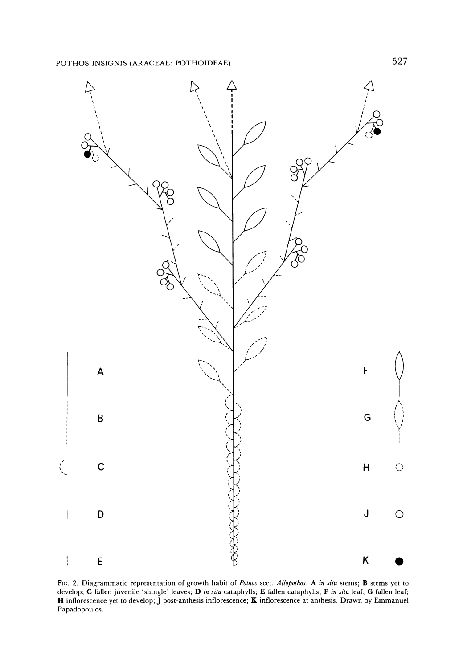

**Fi(;. 2. Diagrammatic representation of growth habit of Pothos sect. Allopothos. A in situ stems; B stems yet to**  develop; C fallen juvenile 'shingle' leaves; D in situ cataphylls; E fallen cataphylls; F in situ leaf; G fallen leaf; **H inflorescence yet to develop; J post-anthesis inflorescence; K inflorescence at anthesis. Drawn by Emmanuel Papadopoulos.**